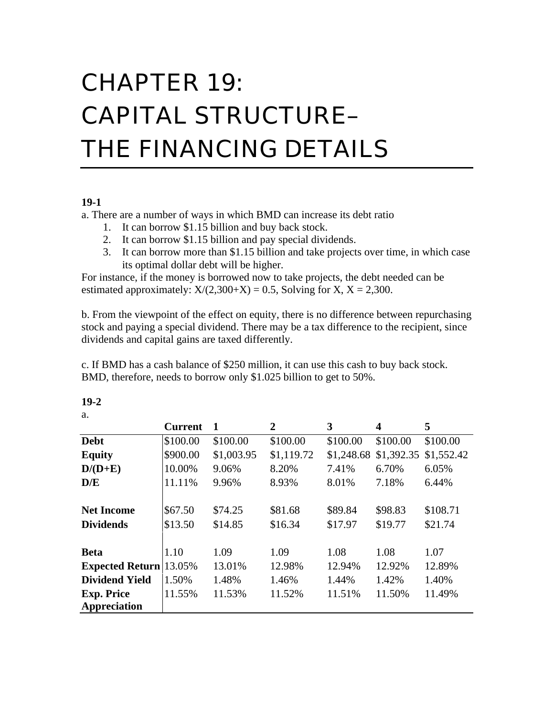# CHAPTER 19: CAPITAL STRUCTURE– THE FINANCING DETAILS

#### **19-1**

a. There are a number of ways in which BMD can increase its debt ratio

- 1. It can borrow \$1.15 billion and buy back stock.
- 2. It can borrow \$1.15 billion and pay special dividends.
- 3. It can borrow more than \$1.15 billion and take projects over time, in which case its optimal dollar debt will be higher.

For instance, if the money is borrowed now to take projects, the debt needed can be estimated approximately:  $X/(2,300+X) = 0.5$ , Solving for X, X = 2,300.

b. From the viewpoint of the effect on equity, there is no difference between repurchasing stock and paying a special dividend. There may be a tax difference to the recipient, since dividends and capital gains are taxed differently.

c. If BMD has a cash balance of \$250 million, it can use this cash to buy back stock. BMD, therefore, needs to borrow only \$1.025 billion to get to 50%.

|                               | <b>Current</b> | $\mathbf 1$ | $\mathbf{2}$ | 3          | 4          | 5          |
|-------------------------------|----------------|-------------|--------------|------------|------------|------------|
| <b>Debt</b>                   | \$100.00       | \$100.00    | \$100.00     | \$100.00   | \$100.00   | \$100.00   |
| <b>Equity</b>                 | \$900.00       | \$1,003.95  | \$1,119.72   | \$1,248.68 | \$1,392.35 | \$1,552.42 |
| $D/(D+E)$                     | 10.00%         | 9.06%       | 8.20%        | 7.41%      | 6.70%      | 6.05%      |
| D/E                           | 11.11%         | 9.96%       | 8.93%        | 8.01%      | 7.18%      | 6.44%      |
| <b>Net Income</b>             | \$67.50        | \$74.25     | \$81.68      | \$89.84    | \$98.83    | \$108.71   |
| <b>Dividends</b>              | \$13.50        | \$14.85     | \$16.34      | \$17.97    | \$19.77    | \$21.74    |
| <b>Beta</b>                   | 1.10           | 1.09        | 1.09         | 1.08       | 1.08       | 1.07       |
| <b>Expected Return</b> 13.05% |                | 13.01%      | 12.98%       | 12.94%     | 12.92%     | 12.89%     |
| <b>Dividend Yield</b>         | 1.50%          | 1.48%       | 1.46%        | 1.44%      | 1.42%      | 1.40%      |
| <b>Exp. Price</b>             | 11.55%         | 11.53%      | 11.52%       | 11.51%     | 11.50%     | 11.49%     |
| Appreciation                  |                |             |              |            |            |            |

**19-2** a.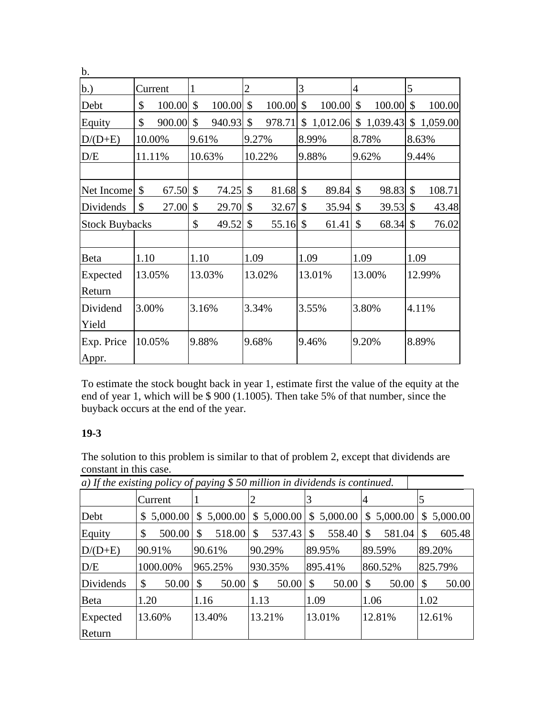| b.                    |       |         |               |        |                |        |                           |        |                           |                             |               |            |
|-----------------------|-------|---------|---------------|--------|----------------|--------|---------------------------|--------|---------------------------|-----------------------------|---------------|------------|
| b.)                   |       | Current | $\mathbf{1}$  |        | $\overline{2}$ |        | 3                         |        | $\overline{4}$            |                             | 5             |            |
| Debt                  | \$    | 100.00  | $\mathcal{S}$ | 100.00 | $\mathcal{S}$  | 100.00 | \$                        | 100.00 | \$                        | 100.00                      | $\mathcal{S}$ | 100.00     |
| Equity                | \$    | 900.00  | \$            | 940.93 | $\mathcal{S}$  | 978.71 |                           |        |                           | $$1,012.06 \  \$ $1,039.43$ |               | \$1,059.00 |
| $D/(D+E)$             |       | 10.00%  | 9.61%         |        | 9.27%          |        |                           | 8.99%  |                           | 8.78%                       |               | 8.63%      |
| D/E                   |       | 11.11%  |               | 10.63% |                | 10.22% |                           | 9.88%  |                           | 9.62%                       |               | 9.44%      |
|                       |       |         |               |        |                |        |                           |        |                           |                             |               |            |
| Net Income            | \$    | 67.50   | \$            | 74.25  | $\mathcal{S}$  | 81.68  | $\boldsymbol{\mathsf{S}}$ | 89.84  | $\boldsymbol{\mathsf{S}}$ | 98.83                       | $\mathcal{S}$ | 108.71     |
| Dividends             | \$    | 27.00   | \$            | 29.70  | $\mathcal{S}$  | 32.67  | \$                        | 35.94  | $\mathcal{S}$             | 39.53                       | $\mathcal{S}$ | 43.48      |
| <b>Stock Buybacks</b> |       |         | \$            | 49.52  | $\mathcal{S}$  | 55.16  | $\mathcal{S}$             | 61.41  | \$                        | 68.34                       | $\mathcal{S}$ | 76.02      |
|                       |       |         |               |        |                |        |                           |        |                           |                             |               |            |
| Beta                  | 1.10  |         | 1.10          |        | 1.09           |        | 1.09                      |        | 1.09                      |                             | 1.09          |            |
| Expected              |       | 13.05%  |               | 13.03% |                | 13.02% |                           | 13.01% |                           | 13.00%                      |               | 12.99%     |
| Return                |       |         |               |        |                |        |                           |        |                           |                             |               |            |
| Dividend              | 3.00% |         | 3.16%         |        | 3.34%          |        |                           | 3.55%  |                           | 3.80%                       |               | 4.11%      |
| Yield                 |       |         |               |        |                |        |                           |        |                           |                             |               |            |
| Exp. Price            |       | 10.05%  | 9.88%         |        | 9.68%          |        |                           | 9.46%  |                           | 9.20%                       |               | 8.89%      |
| Appr.                 |       |         |               |        |                |        |                           |        |                           |                             |               |            |

To estimate the stock bought back in year 1, estimate first the value of the equity at the end of year 1, which will be \$ 900 (1.1005). Then take 5% of that number, since the buyback occurs at the end of the year.

# **19-3**

The solution to this problem is similar to that of problem 2, except that dividends are constant in this case.

|           | $a)$ If the existing policy of paying \$ 50 million in dividends is continued. |            |              |                        |                                       |              |
|-----------|--------------------------------------------------------------------------------|------------|--------------|------------------------|---------------------------------------|--------------|
|           | Current                                                                        | 1          |              |                        | 4                                     | 5            |
| Debt      | \$5,000.00                                                                     | \$5,000.00 | \$5,000.00   |                        | $$5,000.00 \,   \, $5,000.00 \,   \,$ | \$5,000.00   |
| Equity    | $500.00$ \ \$<br>\$                                                            | 518.00     | 537.43<br>\$ | \$                     | 581.04                                | 605.48<br>\$ |
| $D/(D+E)$ | 90.91%                                                                         | 90.61%     | 90.29%       | 89.95%                 | 89.59%                                | 89.20%       |
| D/E       | 1000.00%                                                                       | 965.25%    | 930.35%      | 895.41%                | 860.52%                               | 825.79%      |
| Dividends | \$                                                                             | 50.00      | \$<br>50.00  | $\mathcal{S}$<br>50.00 | 50.00<br>$\vert$ \$                   | \$<br>50.00  |
| Beta      | 1.20                                                                           | 1.16       | 1.13         | 1.09                   | 1.06                                  | 1.02         |
| Expected  | 13.60%                                                                         | 13.40%     | 13.21%       | 13.01%                 | 12.81%                                | 12.61%       |
| Return    |                                                                                |            |              |                        |                                       |              |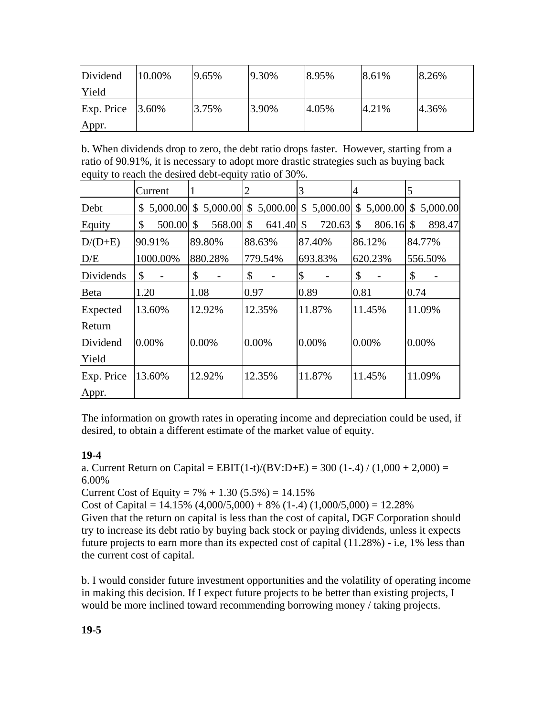| Dividend            | 10.00% | 19.65% | 19.30% | 8.95% | 8.61% | 8.26% |
|---------------------|--------|--------|--------|-------|-------|-------|
| Yield               |        |        |        |       |       |       |
| Exp. Price<br>Appr. | 3.60%  | 3.75%  | 3.90%  | 4.05% | 4.21% | 4.36% |

b. When dividends drop to zero, the debt ratio drops faster. However, starting from a ratio of 90.91%, it is necessary to adopt more drastic strategies such as buying back equity to reach the desired debt-equity ratio of 30%.

|              | Current      |              | 2                      | 3            | 4            | 5                       |
|--------------|--------------|--------------|------------------------|--------------|--------------|-------------------------|
| Debt         | \$5,000.00   | \$5,000.00   | 5,000.00<br>\$         | \$5,000.00   | \$5,000.00   | \$<br>5,000.00          |
| Equity       | \$<br>500.00 | 568.00<br>\$ | 641.40<br>$\mathbb{S}$ | 720.63<br>\$ | 806.16<br>\$ | 898.47<br><sup>\$</sup> |
| $D/(D+E)$    | 90.91%       | 89.80%       | 88.63%                 | 87.40%       | 86.12%       | 84.77%                  |
| D/E          | 1000.00%     | 880.28%      | 779.54%                | 693.83%      | 620.23%      | 556.50%                 |
| Dividends    | \$           | \$           | \$<br>-                | \$           | \$           | \$                      |
| <b>B</b> eta | 1.20         | 1.08         | 0.97                   | 0.89         | 0.81         | 0.74                    |
| Expected     | 13.60%       | 12.92%       | 12.35%                 | 11.87%       | 11.45%       | 11.09%                  |
| Return       |              |              |                        |              |              |                         |
| Dividend     | 0.00%        | 0.00%        | 0.00%                  | 0.00%        | 0.00%        | 0.00%                   |
| Yield        |              |              |                        |              |              |                         |
| Exp. Price   | 13.60%       | 12.92%       | 12.35%                 | 11.87%       | 11.45%       | 11.09%                  |
| Appr.        |              |              |                        |              |              |                         |

The information on growth rates in operating income and depreciation could be used, if desired, to obtain a different estimate of the market value of equity.

## **19-4**

a. Current Return on Capital =  $EBIT(1-t)/(BV:D+E) = 300 (1-.4) / (1.000 + 2.000) =$ 6.00%

Current Cost of Equity =  $7\% + 1.30$  (5.5%) = 14.15%

Cost of Capital =  $14.15\%$  (4,000/5,000) + 8% (1-.4) (1,000/5,000) = 12.28%

Given that the return on capital is less than the cost of capital, DGF Corporation should try to increase its debt ratio by buying back stock or paying dividends, unless it expects future projects to earn more than its expected cost of capital (11.28%) - i.e, 1% less than the current cost of capital.

b. I would consider future investment opportunities and the volatility of operating income in making this decision. If I expect future projects to be better than existing projects, I would be more inclined toward recommending borrowing money / taking projects.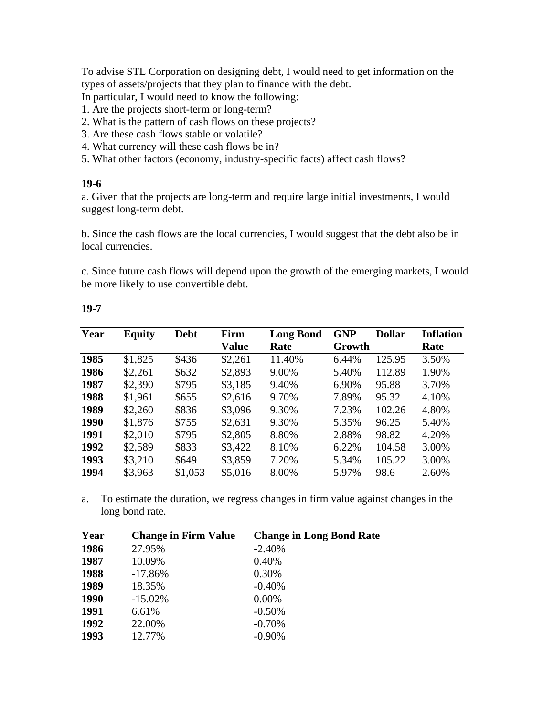To advise STL Corporation on designing debt, I would need to get information on the types of assets/projects that they plan to finance with the debt.

In particular, I would need to know the following:

- 1. Are the projects short-term or long-term?
- 2. What is the pattern of cash flows on these projects?
- 3. Are these cash flows stable or volatile?
- 4. What currency will these cash flows be in?
- 5. What other factors (economy, industry-specific facts) affect cash flows?

#### **19-6**

a. Given that the projects are long-term and require large initial investments, I would suggest long-term debt.

b. Since the cash flows are the local currencies, I would suggest that the debt also be in local currencies.

c. Since future cash flows will depend upon the growth of the emerging markets, I would be more likely to use convertible debt.

| Year | <b>Equity</b> | <b>Debt</b> | Firm    | <b>Long Bond</b> | <b>GNP</b> | <b>Dollar</b> | <b>Inflation</b> |
|------|---------------|-------------|---------|------------------|------------|---------------|------------------|
|      |               |             | Value   | Rate             | Growth     |               | Rate             |
| 1985 | \$1,825       | \$436       | \$2,261 | 11.40%           | 6.44%      | 125.95        | 3.50%            |
| 1986 | \$2,261       | \$632       | \$2,893 | 9.00%            | 5.40%      | 112.89        | 1.90%            |
| 1987 | \$2,390       | \$795       | \$3,185 | 9.40%            | 6.90%      | 95.88         | 3.70%            |
| 1988 | \$1,961       | \$655       | \$2,616 | 9.70%            | 7.89%      | 95.32         | 4.10%            |
| 1989 | \$2,260       | \$836       | \$3,096 | 9.30%            | 7.23%      | 102.26        | 4.80%            |
| 1990 | \$1,876       | \$755       | \$2,631 | 9.30%            | 5.35%      | 96.25         | 5.40%            |
| 1991 | \$2,010       | \$795       | \$2,805 | 8.80%            | 2.88%      | 98.82         | 4.20%            |
| 1992 | \$2,589       | \$833       | \$3,422 | 8.10%            | 6.22%      | 104.58        | 3.00%            |
| 1993 | \$3,210       | \$649       | \$3,859 | 7.20%            | 5.34%      | 105.22        | 3.00%            |
| 1994 | \$3,963       | \$1,053     | \$5,016 | 8.00%            | 5.97%      | 98.6          | 2.60%            |

#### **19-7**

J.

a. To estimate the duration, we regress changes in firm value against changes in the long bond rate.

| <b>Change in Firm Value</b> | <b>Change in Long Bond Rate</b> |
|-----------------------------|---------------------------------|
| 27.95%                      | $-2.40%$                        |
| 10.09%                      | 0.40%                           |
| $-17.86%$                   | 0.30%                           |
| 18.35%                      | $-0.40%$                        |
| $-15.02%$                   | $0.00\%$                        |
| 6.61%                       | $-0.50%$                        |
| 22.00%                      | $-0.70%$                        |
| 12.77%                      | $-0.90%$                        |
|                             |                                 |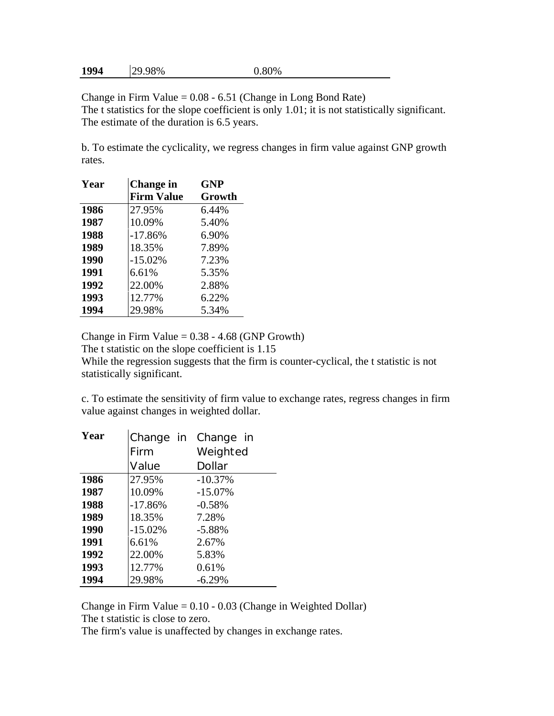| 1994 | 29.98% | 0.80% |
|------|--------|-------|
|------|--------|-------|

Change in Firm Value  $= 0.08 - 6.51$  (Change in Long Bond Rate) The t statistics for the slope coefficient is only 1.01; it is not statistically significant. The estimate of the duration is 6.5 years.

b. To estimate the cyclicality, we regress changes in firm value against GNP growth rates.

| Year | Change in         | <b>GNP</b> |
|------|-------------------|------------|
|      | <b>Firm Value</b> | Growth     |
| 1986 | 27.95%            | 6.44%      |
| 1987 | 10.09%            | 5.40%      |
| 1988 | $-17.86%$         | 6.90%      |
| 1989 | 18.35%            | 7.89%      |
| 1990 | $-15.02%$         | 7.23%      |
| 1991 | 6.61%             | 5.35%      |
| 1992 | 22.00%            | 2.88%      |
| 1993 | 12.77%            | 6.22%      |
| 1994 | 29.98%            | 5.34%      |

Change in Firm Value  $= 0.38 - 4.68$  (GNP Growth)

The t statistic on the slope coefficient is 1.15

While the regression suggests that the firm is counter-cyclical, the t statistic is not statistically significant.

c. To estimate the sensitivity of firm value to exchange rates, regress changes in firm value against changes in weighted dollar.

| Year | Change in | Change in     |
|------|-----------|---------------|
|      | Firm      | Weighted      |
|      | Value     | <b>Dollar</b> |
| 1986 | 27.95%    | $-10.37%$     |
| 1987 | 10.09%    | $-15.07%$     |
| 1988 | $-17.86%$ | $-0.58%$      |
| 1989 | 18.35%    | 7.28%         |
| 1990 | $-15.02%$ | $-5.88%$      |
| 1991 | 6.61%     | 2.67%         |
| 1992 | 22.00%    | 5.83%         |
| 1993 | 12.77%    | 0.61%         |
| 1994 | 29.98%    | $-6.29%$      |

Change in Firm Value =  $0.10 - 0.03$  (Change in Weighted Dollar) The t statistic is close to zero.

The firm's value is unaffected by changes in exchange rates.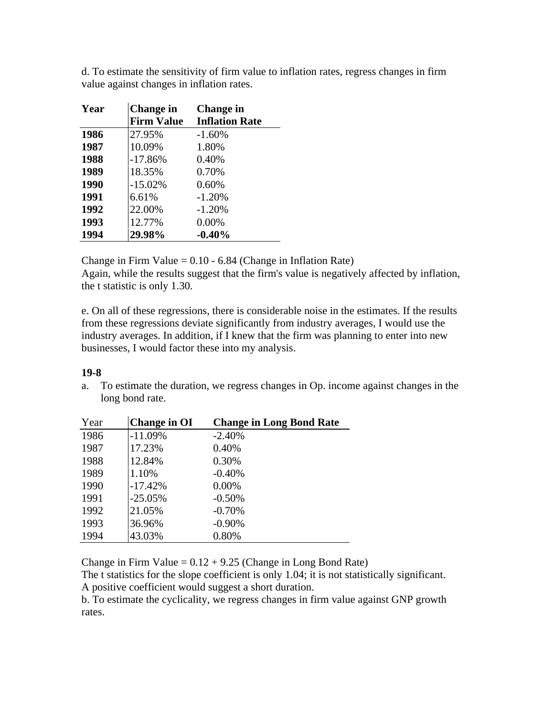| Year | <b>Change in</b>  | <b>Change in</b>      |
|------|-------------------|-----------------------|
|      | <b>Firm Value</b> | <b>Inflation Rate</b> |
| 1986 | 27.95%            | $-1.60%$              |
| 1987 | 10.09%            | 1.80%                 |
| 1988 | $-17.86%$         | 0.40%                 |
| 1989 | 18.35%            | 0.70%                 |
| 1990 | $-15.02%$         | 0.60%                 |
| 1991 | 6.61%             | $-1.20%$              |
| 1992 | 22.00%            | $-1.20%$              |
| 1993 | 12.77%            | 0.00%                 |
| 1994 | 29.98%            | $-0.40%$              |

d. To estimate the sensitivity of firm value to inflation rates, regress changes in firm value against changes in inflation rates.

Change in Firm Value  $= 0.10 - 6.84$  (Change in Inflation Rate) Again, while the results suggest that the firm's value is negatively affected by inflation, the t statistic is only 1.30.

e. On all of these regressions, there is considerable noise in the estimates. If the results from these regressions deviate significantly from industry averages, I would use the industry averages. In addition, if I knew that the firm was planning to enter into new businesses, I would factor these into my analysis.

#### **19-8**

a. To estimate the duration, we regress changes in Op. income against changes in the long bond rate.

| Year | <b>Change in OI</b> | <b>Change in Long Bond Rate</b> |
|------|---------------------|---------------------------------|
| 1986 | $-11.09%$           | $-2.40%$                        |
| 1987 | 17.23%              | 0.40%                           |
| 1988 | 12.84%              | 0.30%                           |
| 1989 | 1.10%               | $-0.40%$                        |
| 1990 | $-17.42%$           | 0.00%                           |
| 1991 | $-25.05%$           | $-0.50%$                        |
| 1992 | 21.05%              | $-0.70%$                        |
| 1993 | 36.96%              | $-0.90%$                        |
| 1994 | 43.03%              | 0.80%                           |

Change in Firm Value =  $0.12 + 9.25$  (Change in Long Bond Rate)

The t statistics for the slope coefficient is only 1.04; it is not statistically significant. A positive coefficient would suggest a short duration.

b. To estimate the cyclicality, we regress changes in firm value against GNP growth rates.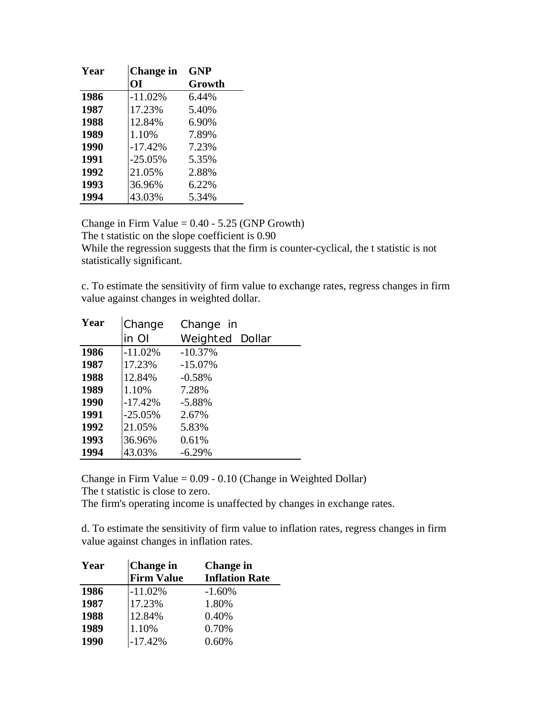| Year | Change in | <b>GNP</b> |
|------|-----------|------------|
|      | OI        | Growth     |
| 1986 | $-11.02%$ | 6.44%      |
| 1987 | 17.23%    | 5.40%      |
| 1988 | 12.84%    | 6.90%      |
| 1989 | 1.10%     | 7.89%      |
| 1990 | $-17.42%$ | 7.23%      |
| 1991 | $-25.05%$ | 5.35%      |
| 1992 | 21.05%    | 2.88%      |
| 1993 | 36.96%    | 6.22%      |
| 1994 | 43.03%    | 5.34%      |

Change in Firm Value  $= 0.40 - 5.25$  (GNP Growth)

The t statistic on the slope coefficient is 0.90

While the regression suggests that the firm is counter-cyclical, the t statistic is not statistically significant.

c. To estimate the sensitivity of firm value to exchange rates, regress changes in firm value against changes in weighted dollar.

| Year | Change    | Change in              |
|------|-----------|------------------------|
|      | in Ol     | <b>Weighted Dollar</b> |
| 1986 | $-11.02%$ | $-10.37%$              |
| 1987 | 17.23%    | $-15.07\%$             |
| 1988 | 12.84%    | $-0.58%$               |
| 1989 | 1.10%     | 7.28%                  |
| 1990 | $-17.42%$ | $-5.88%$               |
| 1991 | $-25.05%$ | 2.67%                  |
| 1992 | 21.05%    | 5.83%                  |
| 1993 | 36.96%    | 0.61%                  |
| 1994 | 43.03%    | $-6.29%$               |

Change in Firm Value = 0.09 - 0.10 (Change in Weighted Dollar)

The t statistic is close to zero.

The firm's operating income is unaffected by changes in exchange rates.

d. To estimate the sensitivity of firm value to inflation rates, regress changes in firm value against changes in inflation rates.

| Year | <b>Change</b> in  | <b>Change in</b>      |
|------|-------------------|-----------------------|
|      | <b>Firm Value</b> | <b>Inflation Rate</b> |
| 1986 | $-11.02%$         | $-1.60%$              |
| 1987 | 17.23%            | 1.80%                 |
| 1988 | 12.84%            | 0.40%                 |
| 1989 | 1.10%             | 0.70%                 |
| 1990 | $-17.42%$         | 0.60%                 |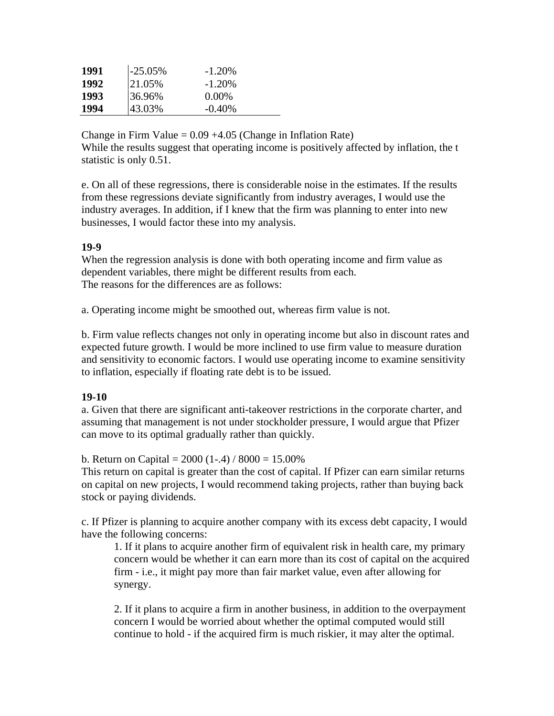| 1991 | $-25.05%$ | $-1.20\%$ |
|------|-----------|-----------|
| 1992 | 21.05%    | $-1.20\%$ |
| 1993 | 36.96%    | $0.00\%$  |
| 1994 | 43.03%    | $-0.40\%$ |

Change in Firm Value  $= 0.09 + 4.05$  (Change in Inflation Rate) While the results suggest that operating income is positively affected by inflation, the t statistic is only 0.51.

e. On all of these regressions, there is considerable noise in the estimates. If the results from these regressions deviate significantly from industry averages, I would use the industry averages. In addition, if I knew that the firm was planning to enter into new businesses, I would factor these into my analysis.

#### **19-9**

When the regression analysis is done with both operating income and firm value as dependent variables, there might be different results from each. The reasons for the differences are as follows:

a. Operating income might be smoothed out, whereas firm value is not.

b. Firm value reflects changes not only in operating income but also in discount rates and expected future growth. I would be more inclined to use firm value to measure duration and sensitivity to economic factors. I would use operating income to examine sensitivity to inflation, especially if floating rate debt is to be issued.

## **19-10**

a. Given that there are significant anti-takeover restrictions in the corporate charter, and assuming that management is not under stockholder pressure, I would argue that Pfizer can move to its optimal gradually rather than quickly.

b. Return on Capital =  $2000 (1-.4) / 8000 = 15.00\%$ 

This return on capital is greater than the cost of capital. If Pfizer can earn similar returns on capital on new projects, I would recommend taking projects, rather than buying back stock or paying dividends.

c. If Pfizer is planning to acquire another company with its excess debt capacity, I would have the following concerns:

1. If it plans to acquire another firm of equivalent risk in health care, my primary concern would be whether it can earn more than its cost of capital on the acquired firm - i.e., it might pay more than fair market value, even after allowing for synergy.

2. If it plans to acquire a firm in another business, in addition to the overpayment concern I would be worried about whether the optimal computed would still continue to hold - if the acquired firm is much riskier, it may alter the optimal.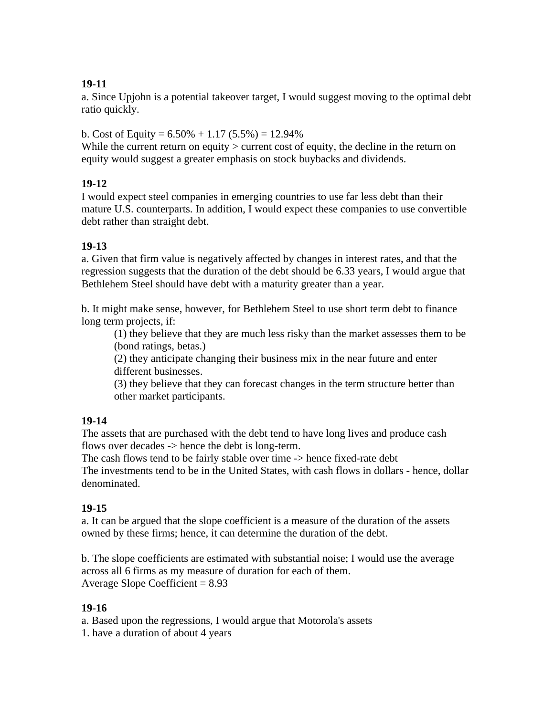# **19-11**

a. Since Upjohn is a potential takeover target, I would suggest moving to the optimal debt ratio quickly.

b. Cost of Equity =  $6.50\% + 1.17(5.5\%) = 12.94\%$ 

While the current return on equity  $>$  current cost of equity, the decline in the return on equity would suggest a greater emphasis on stock buybacks and dividends.

# **19-12**

I would expect steel companies in emerging countries to use far less debt than their mature U.S. counterparts. In addition, I would expect these companies to use convertible debt rather than straight debt.

# **19-13**

a. Given that firm value is negatively affected by changes in interest rates, and that the regression suggests that the duration of the debt should be 6.33 years, I would argue that Bethlehem Steel should have debt with a maturity greater than a year.

b. It might make sense, however, for Bethlehem Steel to use short term debt to finance long term projects, if:

(1) they believe that they are much less risky than the market assesses them to be (bond ratings, betas.)

(2) they anticipate changing their business mix in the near future and enter different businesses.

(3) they believe that they can forecast changes in the term structure better than other market participants.

## **19-14**

The assets that are purchased with the debt tend to have long lives and produce cash flows over decades -> hence the debt is long-term.

The cash flows tend to be fairly stable over time -> hence fixed-rate debt The investments tend to be in the United States, with cash flows in dollars - hence, dollar denominated.

## **19-15**

a. It can be argued that the slope coefficient is a measure of the duration of the assets owned by these firms; hence, it can determine the duration of the debt.

b. The slope coefficients are estimated with substantial noise; I would use the average across all 6 firms as my measure of duration for each of them. Average Slope Coefficient  $= 8.93$ 

## **19-16**

a. Based upon the regressions, I would argue that Motorola's assets

1. have a duration of about 4 years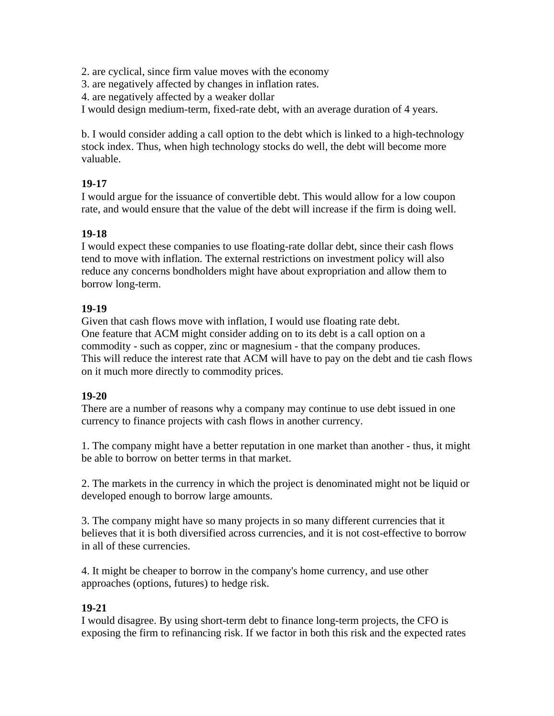2. are cyclical, since firm value moves with the economy

3. are negatively affected by changes in inflation rates.

4. are negatively affected by a weaker dollar

I would design medium-term, fixed-rate debt, with an average duration of 4 years.

b. I would consider adding a call option to the debt which is linked to a high-technology stock index. Thus, when high technology stocks do well, the debt will become more valuable.

## **19-17**

I would argue for the issuance of convertible debt. This would allow for a low coupon rate, and would ensure that the value of the debt will increase if the firm is doing well.

## **19-18**

I would expect these companies to use floating-rate dollar debt, since their cash flows tend to move with inflation. The external restrictions on investment policy will also reduce any concerns bondholders might have about expropriation and allow them to borrow long-term.

## **19-19**

Given that cash flows move with inflation, I would use floating rate debt. One feature that ACM might consider adding on to its debt is a call option on a commodity - such as copper, zinc or magnesium - that the company produces. This will reduce the interest rate that ACM will have to pay on the debt and tie cash flows on it much more directly to commodity prices.

#### **19-20**

There are a number of reasons why a company may continue to use debt issued in one currency to finance projects with cash flows in another currency.

1. The company might have a better reputation in one market than another - thus, it might be able to borrow on better terms in that market.

2. The markets in the currency in which the project is denominated might not be liquid or developed enough to borrow large amounts.

3. The company might have so many projects in so many different currencies that it believes that it is both diversified across currencies, and it is not cost-effective to borrow in all of these currencies.

4. It might be cheaper to borrow in the company's home currency, and use other approaches (options, futures) to hedge risk.

#### **19-21**

I would disagree. By using short-term debt to finance long-term projects, the CFO is exposing the firm to refinancing risk. If we factor in both this risk and the expected rates